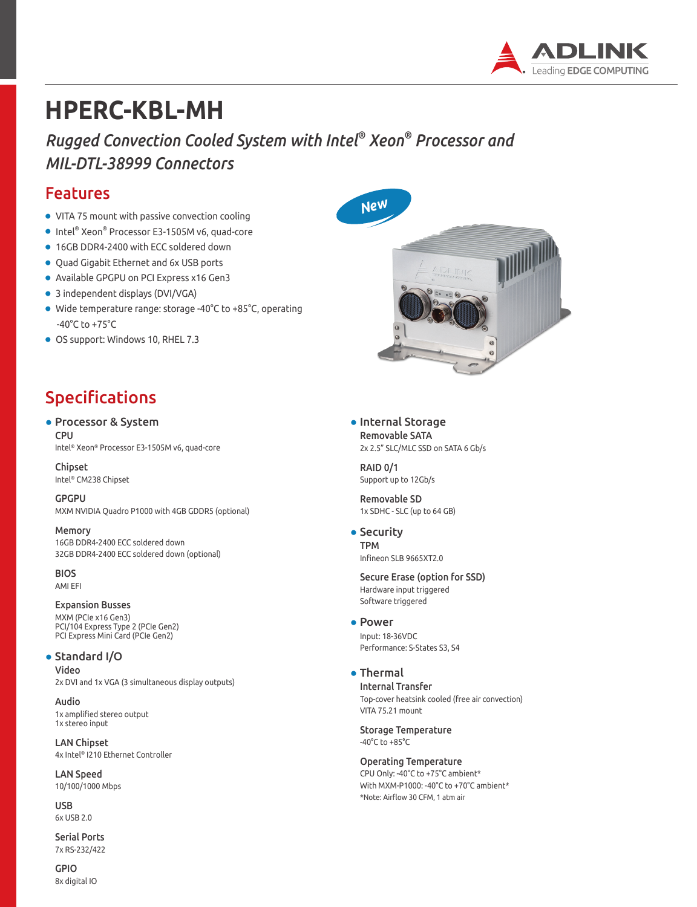

# **HPERC-KBL-MH**

*Rugged Convection Cooled System with Intel® Xeon® Processor and MIL-DTL-38999 Connectors*

### Features

- VITA 75 mount with passive convection cooling
- Intel® Xeon® Processor E3-1505M v6, quad-core
- 16GB DDR4-2400 with ECC soldered down
- Quad Gigabit Ethernet and 6x USB ports
- Available GPGPU on PCI Express x16 Gen3
- 3 independent displays (DVI/VGA)
- Wide temperature range: storage -40°C to +85°C, operating -40°C to +75°C
- OS support: Windows 10, RHEL 7.3

# Specifications

#### ● Processor & System **CPU**

Intel® Xeon® Processor E3-1505M v6, quad-core

Chipset Intel® CM238 Chipset

GPGPU MXM NVIDIA Quadro P1000 with 4GB GDDR5 (optional)

Memory 16GB DDR4-2400 ECC soldered down 32GB DDR4-2400 ECC soldered down (optional)

BIOS AMI EFI

### Expansion Busses

MXM (PCIe x16 Gen3) PCI/104 Express Type 2 (PCIe Gen2) PCI Express Mini Card (PCIe Gen2)

### ● Standard I/O

Video 2x DVI and 1x VGA (3 simultaneous display outputs)

Audio 1x amplified stereo output 1x stereo input

LAN Chipset 4x Intel® I210 Ethernet Controller

LAN Speed 10/100/1000 Mbps

USB 6x USB 2.0

Serial Ports 7x RS-232/422

GPIO 8x digital IO



● Internal Storage Removable SATA 2x 2.5" SLC/MLC SSD on SATA 6 Gb/s

RAID 0/1 Support up to 12Gb/s

Removable SD 1x SDHC - SLC (up to 64 GB)

• Security TPM Infineon SLB 9665XT2.0

Secure Erase (option for SSD) Hardware input triggered Software triggered

- Power Input: 18-36VDC Performance: S-States S3, S4
- Thermal

Internal Transfer Top-cover heatsink cooled (free air convection) VITA 75.21 mount

Storage Temperature -40°C to +85°C

Operating Temperature CPU Only: -40°C to +75°C ambient\* With MXM-P1000: -40°C to +70°C ambient\* \*Note: Airflow 30 CFM, 1 atm air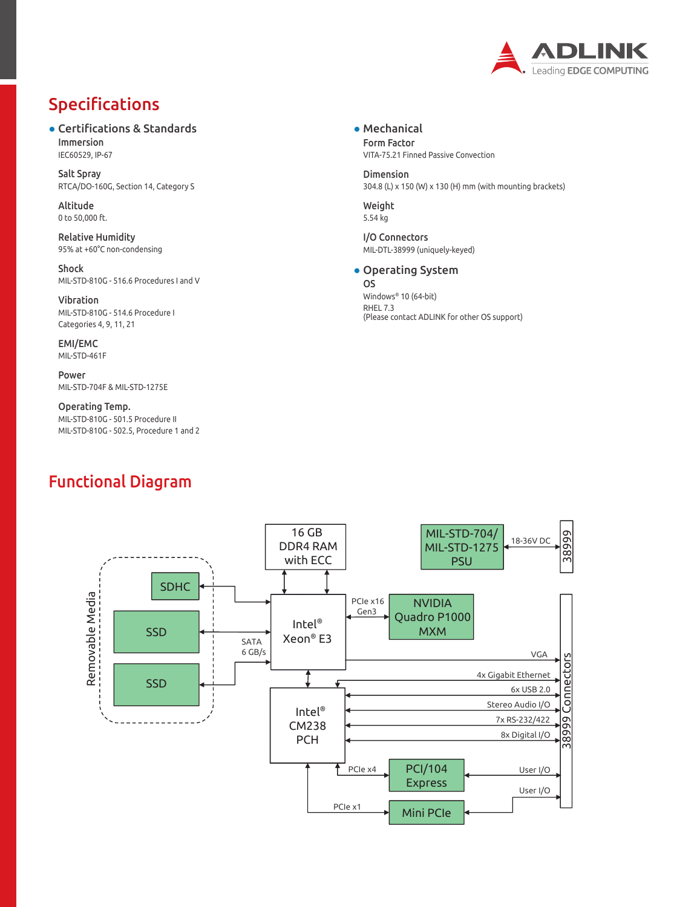

# Specifications

● Certifications & Standards Immersion IEC60529, IP-67

Salt Spray RTCA/DO-160G, Section 14, Category S

Altitude 0 to 50,000 ft.

Relative Humidity 95% at +60°C non-condensing

Shock MIL-STD-810G - 516.6 Procedures I and V

Vibration MIL-STD-810G - 514.6 Procedure I Categories 4, 9, 11, 21

EMI/EMC MIL-STD-461F

Power MIL-STD-704F & MIL-STD-1275E

Operating Temp. MIL-STD-810G - 501.5 Procedure II MIL-STD-810G - 502.5, Procedure 1 and 2

## Functional Diagram

● Mechanical Form Factor VITA-75.21 Finned Passive Convection

Dimension 304.8 (L) x 150 (W) x 130 (H) mm (with mounting brackets)

Weight 5.54 kg

I/O Connectors MIL-DTL-38999 (uniquely-keyed)

### ● Operating System

OS Windows® 10 (64-bit) RHEL 7.3 (Please contact ADLINK for other OS support)